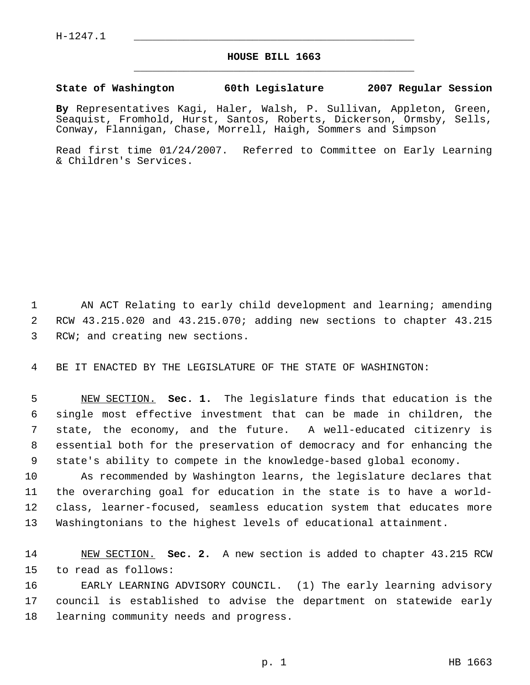## **HOUSE BILL 1663** \_\_\_\_\_\_\_\_\_\_\_\_\_\_\_\_\_\_\_\_\_\_\_\_\_\_\_\_\_\_\_\_\_\_\_\_\_\_\_\_\_\_\_\_\_

## **State of Washington 60th Legislature 2007 Regular Session**

**By** Representatives Kagi, Haler, Walsh, P. Sullivan, Appleton, Green, Seaquist, Fromhold, Hurst, Santos, Roberts, Dickerson, Ormsby, Sells, Conway, Flannigan, Chase, Morrell, Haigh, Sommers and Simpson

Read first time 01/24/2007. Referred to Committee on Early Learning & Children's Services.

 AN ACT Relating to early child development and learning; amending RCW 43.215.020 and 43.215.070; adding new sections to chapter 43.215 RCW; and creating new sections.

BE IT ENACTED BY THE LEGISLATURE OF THE STATE OF WASHINGTON:

 NEW SECTION. **Sec. 1.** The legislature finds that education is the single most effective investment that can be made in children, the state, the economy, and the future. A well-educated citizenry is essential both for the preservation of democracy and for enhancing the state's ability to compete in the knowledge-based global economy.

 As recommended by Washington learns, the legislature declares that the overarching goal for education in the state is to have a world- class, learner-focused, seamless education system that educates more Washingtonians to the highest levels of educational attainment.

 NEW SECTION. **Sec. 2.** A new section is added to chapter 43.215 RCW to read as follows:

 EARLY LEARNING ADVISORY COUNCIL. (1) The early learning advisory council is established to advise the department on statewide early learning community needs and progress.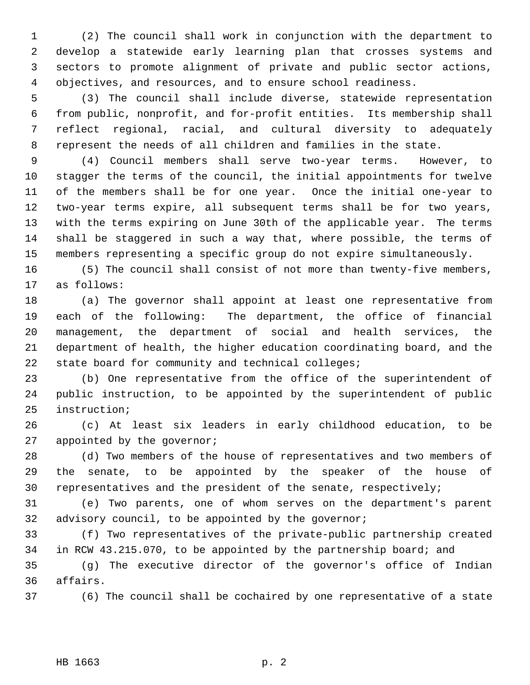(2) The council shall work in conjunction with the department to develop a statewide early learning plan that crosses systems and sectors to promote alignment of private and public sector actions, objectives, and resources, and to ensure school readiness.

 (3) The council shall include diverse, statewide representation from public, nonprofit, and for-profit entities. Its membership shall reflect regional, racial, and cultural diversity to adequately represent the needs of all children and families in the state.

 (4) Council members shall serve two-year terms. However, to stagger the terms of the council, the initial appointments for twelve of the members shall be for one year. Once the initial one-year to two-year terms expire, all subsequent terms shall be for two years, with the terms expiring on June 30th of the applicable year. The terms shall be staggered in such a way that, where possible, the terms of members representing a specific group do not expire simultaneously.

 (5) The council shall consist of not more than twenty-five members, as follows:

 (a) The governor shall appoint at least one representative from each of the following: The department, the office of financial management, the department of social and health services, the department of health, the higher education coordinating board, and the state board for community and technical colleges;

 (b) One representative from the office of the superintendent of public instruction, to be appointed by the superintendent of public instruction;

 (c) At least six leaders in early childhood education, to be 27 appointed by the governor;

 (d) Two members of the house of representatives and two members of the senate, to be appointed by the speaker of the house of representatives and the president of the senate, respectively;

 (e) Two parents, one of whom serves on the department's parent advisory council, to be appointed by the governor;

 (f) Two representatives of the private-public partnership created in RCW 43.215.070, to be appointed by the partnership board; and

 (g) The executive director of the governor's office of Indian affairs.

(6) The council shall be cochaired by one representative of a state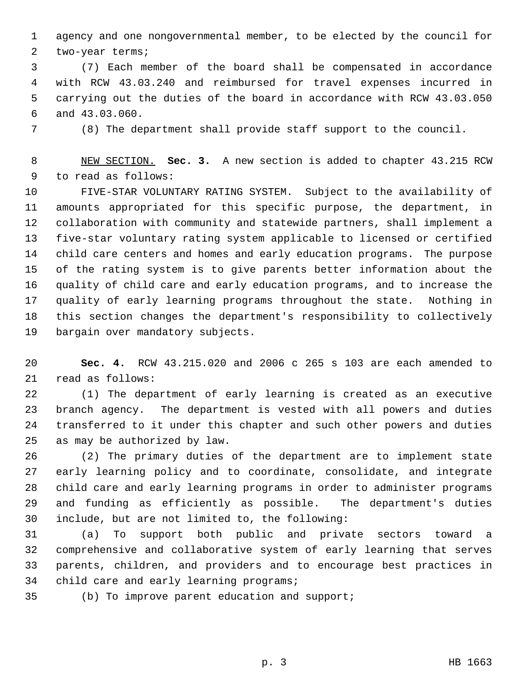agency and one nongovernmental member, to be elected by the council for two-year terms;

 (7) Each member of the board shall be compensated in accordance with RCW 43.03.240 and reimbursed for travel expenses incurred in carrying out the duties of the board in accordance with RCW 43.03.050 and 43.03.060.

(8) The department shall provide staff support to the council.

 NEW SECTION. **Sec. 3.** A new section is added to chapter 43.215 RCW to read as follows:

 FIVE-STAR VOLUNTARY RATING SYSTEM. Subject to the availability of amounts appropriated for this specific purpose, the department, in collaboration with community and statewide partners, shall implement a five-star voluntary rating system applicable to licensed or certified child care centers and homes and early education programs. The purpose of the rating system is to give parents better information about the quality of child care and early education programs, and to increase the quality of early learning programs throughout the state. Nothing in this section changes the department's responsibility to collectively bargain over mandatory subjects.

 **Sec. 4.** RCW 43.215.020 and 2006 c 265 s 103 are each amended to read as follows:

 (1) The department of early learning is created as an executive branch agency. The department is vested with all powers and duties transferred to it under this chapter and such other powers and duties as may be authorized by law.

 (2) The primary duties of the department are to implement state early learning policy and to coordinate, consolidate, and integrate child care and early learning programs in order to administer programs and funding as efficiently as possible. The department's duties include, but are not limited to, the following:

 (a) To support both public and private sectors toward a comprehensive and collaborative system of early learning that serves parents, children, and providers and to encourage best practices in 34 child care and early learning programs;

(b) To improve parent education and support;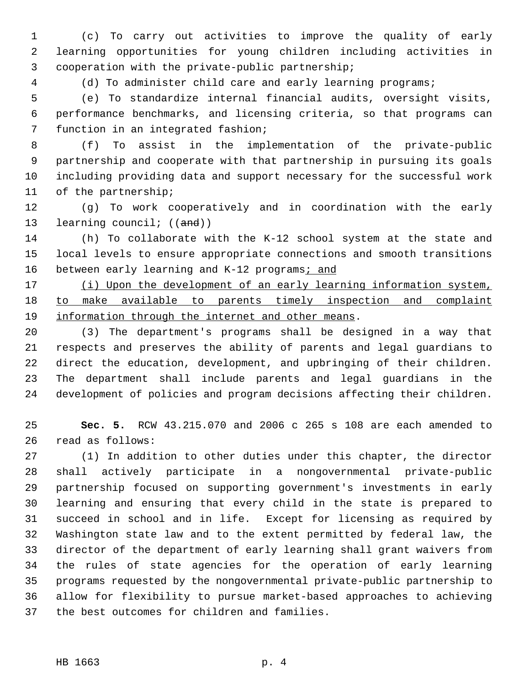(c) To carry out activities to improve the quality of early learning opportunities for young children including activities in cooperation with the private-public partnership;

(d) To administer child care and early learning programs;

 (e) To standardize internal financial audits, oversight visits, performance benchmarks, and licensing criteria, so that programs can function in an integrated fashion;

 (f) To assist in the implementation of the private-public partnership and cooperate with that partnership in pursuing its goals including providing data and support necessary for the successful work of the partnership;

 (g) To work cooperatively and in coordination with the early 13 learning council; ((and))

 (h) To collaborate with the K-12 school system at the state and local levels to ensure appropriate connections and smooth transitions 16 between early learning and K-12 programs; and

17 (i) Upon the development of an early learning information system, 18 to make available to parents timely inspection and complaint information through the internet and other means.

 (3) The department's programs shall be designed in a way that respects and preserves the ability of parents and legal guardians to direct the education, development, and upbringing of their children. The department shall include parents and legal guardians in the development of policies and program decisions affecting their children.

 **Sec. 5.** RCW 43.215.070 and 2006 c 265 s 108 are each amended to read as follows:

 (1) In addition to other duties under this chapter, the director shall actively participate in a nongovernmental private-public partnership focused on supporting government's investments in early learning and ensuring that every child in the state is prepared to succeed in school and in life. Except for licensing as required by Washington state law and to the extent permitted by federal law, the director of the department of early learning shall grant waivers from the rules of state agencies for the operation of early learning programs requested by the nongovernmental private-public partnership to allow for flexibility to pursue market-based approaches to achieving the best outcomes for children and families.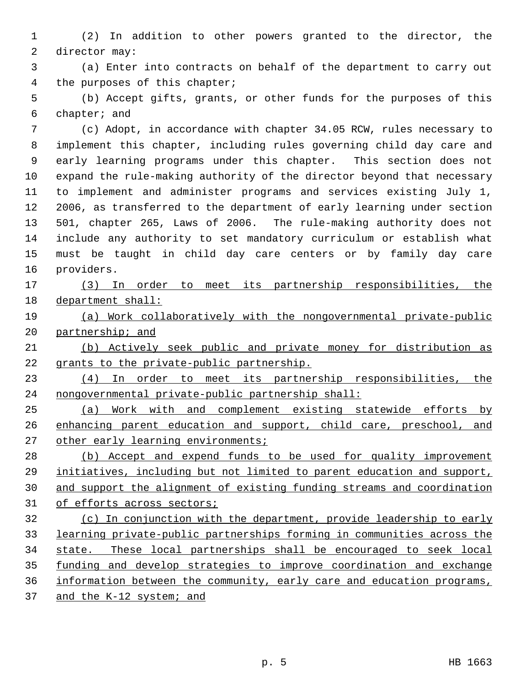(2) In addition to other powers granted to the director, the director may:

 (a) Enter into contracts on behalf of the department to carry out the purposes of this chapter;

 (b) Accept gifts, grants, or other funds for the purposes of this chapter; and

 (c) Adopt, in accordance with chapter 34.05 RCW, rules necessary to implement this chapter, including rules governing child day care and early learning programs under this chapter. This section does not expand the rule-making authority of the director beyond that necessary to implement and administer programs and services existing July 1, 2006, as transferred to the department of early learning under section 501, chapter 265, Laws of 2006. The rule-making authority does not include any authority to set mandatory curriculum or establish what must be taught in child day care centers or by family day care providers.

 (3) In order to meet its partnership responsibilities, the department shall:

 (a) Work collaboratively with the nongovernmental private-public partnership; and

 (b) Actively seek public and private money for distribution as grants to the private-public partnership.

 (4) In order to meet its partnership responsibilities, the nongovernmental private-public partnership shall:

 (a) Work with and complement existing statewide efforts by 26 enhancing parent education and support, child care, preschool, and 27 other early learning environments;

28 (b) Accept and expend funds to be used for quality improvement initiatives, including but not limited to parent education and support, and support the alignment of existing funding streams and coordination 31 of efforts across sectors;

 (c) In conjunction with the department, provide leadership to early learning private-public partnerships forming in communities across the state. These local partnerships shall be encouraged to seek local funding and develop strategies to improve coordination and exchange information between the community, early care and education programs, 37 and the K-12 system; and